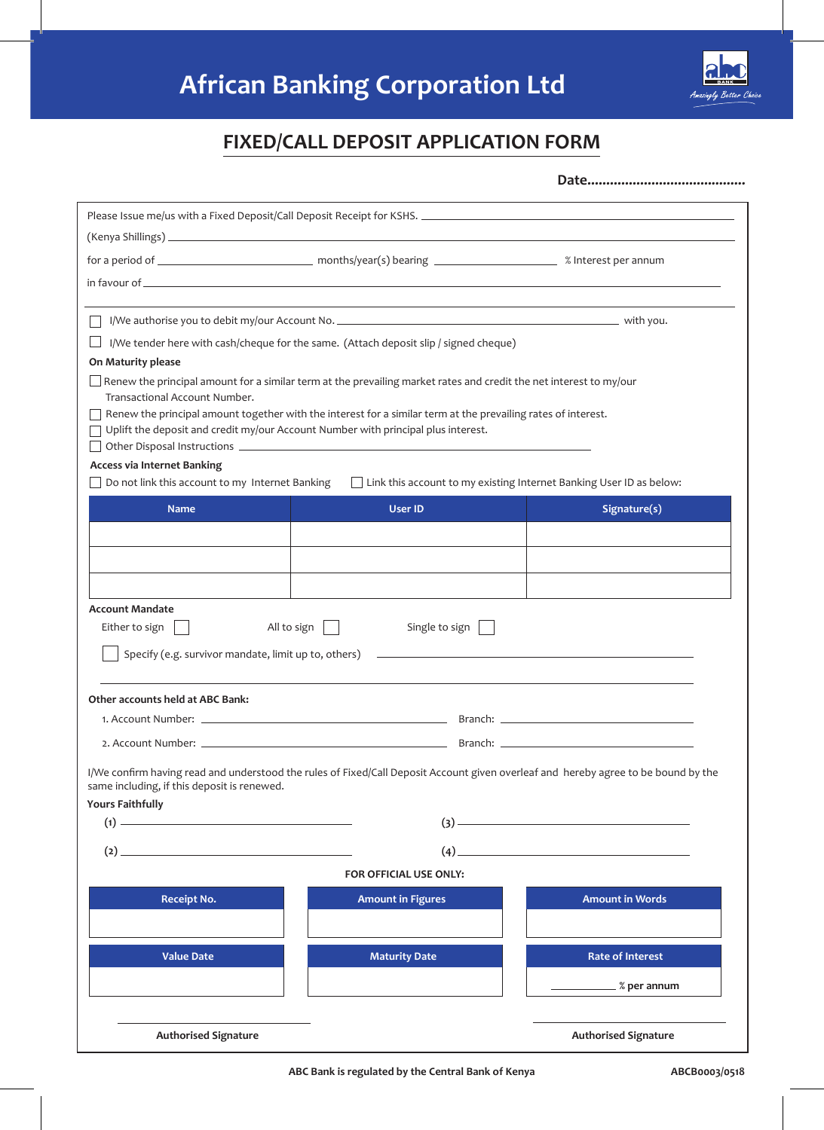# **African Banking Corporation Ltd**



### **FIXED/CALL DEPOSIT APPLICATION FORM**

**Date..........................................**

| I/We tender here with cash/cheque for the same. (Attach deposit slip / signed cheque)<br>On Maturity please<br>$\Box$ Renew the principal amount for a similar term at the prevailing market rates and credit the net interest to my/our<br>Transactional Account Number.<br>Renew the principal amount together with the interest for a similar term at the prevailing rates of interest.<br>Uplift the deposit and credit my/our Account Number with principal plus interest.<br>Do not link this account to my Internet Banking<br>Link this account to my existing Internet Banking User ID as below:<br>Signature(s)<br><b>Name</b><br><b>User ID</b><br>Either to sign<br>All to sign $\vert$<br>Single to sign<br>Specify (e.g. survivor mandate, limit up to, others)<br><u> 1990 - Johann Harry Harry Harry Harry Harry Harry Harry Harry Harry Harry Harry Harry Harry Harry Harry Harry</u><br>$(1) \begin{tabular}{l} \hline \hline \hline \hline \hline \end{tabular}$<br>$\begin{array}{c} \hline \text{(3)} \end{array}$<br>$\qquad \qquad (4) \qquad \qquad \qquad 4)$<br>$\begin{picture}(20,20)(-20,0) \put(0,0){\vector(1,0){100}} \put(15,0){\vector(1,0){100}} \put(15,0){\vector(1,0){100}} \put(15,0){\vector(1,0){100}} \put(15,0){\vector(1,0){100}} \put(15,0){\vector(1,0){100}} \put(15,0){\vector(1,0){100}} \put(15,0){\vector(1,0){100}} \put(15,0){\vector(1,0){100}} \put(15,0){\vector(1,0){100}} \put(15,0){\vector(1,0$<br>FOR OFFICIAL USE ONLY:<br><b>Amount in Figures</b><br><b>Amount in Words</b><br><b>Receipt No.</b><br><b>Rate of Interest</b><br><b>Value Date</b><br><b>Maturity Date</b><br>$\equiv$ % per annum |                                                   |  |
|-------------------------------------------------------------------------------------------------------------------------------------------------------------------------------------------------------------------------------------------------------------------------------------------------------------------------------------------------------------------------------------------------------------------------------------------------------------------------------------------------------------------------------------------------------------------------------------------------------------------------------------------------------------------------------------------------------------------------------------------------------------------------------------------------------------------------------------------------------------------------------------------------------------------------------------------------------------------------------------------------------------------------------------------------------------------------------------------------------------------------------------------------------------------------------------------------------------------------------------------------------------------------------------------------------------------------------------------------------------------------------------------------------------------------------------------------------------------------------------------------------------------------------------------------------------------------------------------------------------------------------------------------------------------|---------------------------------------------------|--|
|                                                                                                                                                                                                                                                                                                                                                                                                                                                                                                                                                                                                                                                                                                                                                                                                                                                                                                                                                                                                                                                                                                                                                                                                                                                                                                                                                                                                                                                                                                                                                                                                                                                                   |                                                   |  |
|                                                                                                                                                                                                                                                                                                                                                                                                                                                                                                                                                                                                                                                                                                                                                                                                                                                                                                                                                                                                                                                                                                                                                                                                                                                                                                                                                                                                                                                                                                                                                                                                                                                                   |                                                   |  |
|                                                                                                                                                                                                                                                                                                                                                                                                                                                                                                                                                                                                                                                                                                                                                                                                                                                                                                                                                                                                                                                                                                                                                                                                                                                                                                                                                                                                                                                                                                                                                                                                                                                                   |                                                   |  |
|                                                                                                                                                                                                                                                                                                                                                                                                                                                                                                                                                                                                                                                                                                                                                                                                                                                                                                                                                                                                                                                                                                                                                                                                                                                                                                                                                                                                                                                                                                                                                                                                                                                                   |                                                   |  |
|                                                                                                                                                                                                                                                                                                                                                                                                                                                                                                                                                                                                                                                                                                                                                                                                                                                                                                                                                                                                                                                                                                                                                                                                                                                                                                                                                                                                                                                                                                                                                                                                                                                                   |                                                   |  |
|                                                                                                                                                                                                                                                                                                                                                                                                                                                                                                                                                                                                                                                                                                                                                                                                                                                                                                                                                                                                                                                                                                                                                                                                                                                                                                                                                                                                                                                                                                                                                                                                                                                                   |                                                   |  |
|                                                                                                                                                                                                                                                                                                                                                                                                                                                                                                                                                                                                                                                                                                                                                                                                                                                                                                                                                                                                                                                                                                                                                                                                                                                                                                                                                                                                                                                                                                                                                                                                                                                                   |                                                   |  |
|                                                                                                                                                                                                                                                                                                                                                                                                                                                                                                                                                                                                                                                                                                                                                                                                                                                                                                                                                                                                                                                                                                                                                                                                                                                                                                                                                                                                                                                                                                                                                                                                                                                                   |                                                   |  |
|                                                                                                                                                                                                                                                                                                                                                                                                                                                                                                                                                                                                                                                                                                                                                                                                                                                                                                                                                                                                                                                                                                                                                                                                                                                                                                                                                                                                                                                                                                                                                                                                                                                                   |                                                   |  |
|                                                                                                                                                                                                                                                                                                                                                                                                                                                                                                                                                                                                                                                                                                                                                                                                                                                                                                                                                                                                                                                                                                                                                                                                                                                                                                                                                                                                                                                                                                                                                                                                                                                                   | <b>Access via Internet Banking</b>                |  |
|                                                                                                                                                                                                                                                                                                                                                                                                                                                                                                                                                                                                                                                                                                                                                                                                                                                                                                                                                                                                                                                                                                                                                                                                                                                                                                                                                                                                                                                                                                                                                                                                                                                                   |                                                   |  |
|                                                                                                                                                                                                                                                                                                                                                                                                                                                                                                                                                                                                                                                                                                                                                                                                                                                                                                                                                                                                                                                                                                                                                                                                                                                                                                                                                                                                                                                                                                                                                                                                                                                                   |                                                   |  |
|                                                                                                                                                                                                                                                                                                                                                                                                                                                                                                                                                                                                                                                                                                                                                                                                                                                                                                                                                                                                                                                                                                                                                                                                                                                                                                                                                                                                                                                                                                                                                                                                                                                                   |                                                   |  |
| Other accounts held at ABC Bank:<br>same including, if this deposit is renewed.                                                                                                                                                                                                                                                                                                                                                                                                                                                                                                                                                                                                                                                                                                                                                                                                                                                                                                                                                                                                                                                                                                                                                                                                                                                                                                                                                                                                                                                                                                                                                                                   |                                                   |  |
|                                                                                                                                                                                                                                                                                                                                                                                                                                                                                                                                                                                                                                                                                                                                                                                                                                                                                                                                                                                                                                                                                                                                                                                                                                                                                                                                                                                                                                                                                                                                                                                                                                                                   |                                                   |  |
| I/We confirm having read and understood the rules of Fixed/Call Deposit Account given overleaf and hereby agree to be bound by the                                                                                                                                                                                                                                                                                                                                                                                                                                                                                                                                                                                                                                                                                                                                                                                                                                                                                                                                                                                                                                                                                                                                                                                                                                                                                                                                                                                                                                                                                                                                |                                                   |  |
|                                                                                                                                                                                                                                                                                                                                                                                                                                                                                                                                                                                                                                                                                                                                                                                                                                                                                                                                                                                                                                                                                                                                                                                                                                                                                                                                                                                                                                                                                                                                                                                                                                                                   |                                                   |  |
|                                                                                                                                                                                                                                                                                                                                                                                                                                                                                                                                                                                                                                                                                                                                                                                                                                                                                                                                                                                                                                                                                                                                                                                                                                                                                                                                                                                                                                                                                                                                                                                                                                                                   |                                                   |  |
|                                                                                                                                                                                                                                                                                                                                                                                                                                                                                                                                                                                                                                                                                                                                                                                                                                                                                                                                                                                                                                                                                                                                                                                                                                                                                                                                                                                                                                                                                                                                                                                                                                                                   |                                                   |  |
|                                                                                                                                                                                                                                                                                                                                                                                                                                                                                                                                                                                                                                                                                                                                                                                                                                                                                                                                                                                                                                                                                                                                                                                                                                                                                                                                                                                                                                                                                                                                                                                                                                                                   |                                                   |  |
|                                                                                                                                                                                                                                                                                                                                                                                                                                                                                                                                                                                                                                                                                                                                                                                                                                                                                                                                                                                                                                                                                                                                                                                                                                                                                                                                                                                                                                                                                                                                                                                                                                                                   |                                                   |  |
|                                                                                                                                                                                                                                                                                                                                                                                                                                                                                                                                                                                                                                                                                                                                                                                                                                                                                                                                                                                                                                                                                                                                                                                                                                                                                                                                                                                                                                                                                                                                                                                                                                                                   |                                                   |  |
|                                                                                                                                                                                                                                                                                                                                                                                                                                                                                                                                                                                                                                                                                                                                                                                                                                                                                                                                                                                                                                                                                                                                                                                                                                                                                                                                                                                                                                                                                                                                                                                                                                                                   |                                                   |  |
|                                                                                                                                                                                                                                                                                                                                                                                                                                                                                                                                                                                                                                                                                                                                                                                                                                                                                                                                                                                                                                                                                                                                                                                                                                                                                                                                                                                                                                                                                                                                                                                                                                                                   |                                                   |  |
|                                                                                                                                                                                                                                                                                                                                                                                                                                                                                                                                                                                                                                                                                                                                                                                                                                                                                                                                                                                                                                                                                                                                                                                                                                                                                                                                                                                                                                                                                                                                                                                                                                                                   |                                                   |  |
|                                                                                                                                                                                                                                                                                                                                                                                                                                                                                                                                                                                                                                                                                                                                                                                                                                                                                                                                                                                                                                                                                                                                                                                                                                                                                                                                                                                                                                                                                                                                                                                                                                                                   |                                                   |  |
|                                                                                                                                                                                                                                                                                                                                                                                                                                                                                                                                                                                                                                                                                                                                                                                                                                                                                                                                                                                                                                                                                                                                                                                                                                                                                                                                                                                                                                                                                                                                                                                                                                                                   | <b>Account Mandate</b><br><b>Yours Faithfully</b> |  |
|                                                                                                                                                                                                                                                                                                                                                                                                                                                                                                                                                                                                                                                                                                                                                                                                                                                                                                                                                                                                                                                                                                                                                                                                                                                                                                                                                                                                                                                                                                                                                                                                                                                                   |                                                   |  |
|                                                                                                                                                                                                                                                                                                                                                                                                                                                                                                                                                                                                                                                                                                                                                                                                                                                                                                                                                                                                                                                                                                                                                                                                                                                                                                                                                                                                                                                                                                                                                                                                                                                                   |                                                   |  |
|                                                                                                                                                                                                                                                                                                                                                                                                                                                                                                                                                                                                                                                                                                                                                                                                                                                                                                                                                                                                                                                                                                                                                                                                                                                                                                                                                                                                                                                                                                                                                                                                                                                                   |                                                   |  |
|                                                                                                                                                                                                                                                                                                                                                                                                                                                                                                                                                                                                                                                                                                                                                                                                                                                                                                                                                                                                                                                                                                                                                                                                                                                                                                                                                                                                                                                                                                                                                                                                                                                                   |                                                   |  |
|                                                                                                                                                                                                                                                                                                                                                                                                                                                                                                                                                                                                                                                                                                                                                                                                                                                                                                                                                                                                                                                                                                                                                                                                                                                                                                                                                                                                                                                                                                                                                                                                                                                                   |                                                   |  |
|                                                                                                                                                                                                                                                                                                                                                                                                                                                                                                                                                                                                                                                                                                                                                                                                                                                                                                                                                                                                                                                                                                                                                                                                                                                                                                                                                                                                                                                                                                                                                                                                                                                                   |                                                   |  |
| <b>Authorised Signature</b><br><b>Authorised Signature</b>                                                                                                                                                                                                                                                                                                                                                                                                                                                                                                                                                                                                                                                                                                                                                                                                                                                                                                                                                                                                                                                                                                                                                                                                                                                                                                                                                                                                                                                                                                                                                                                                        |                                                   |  |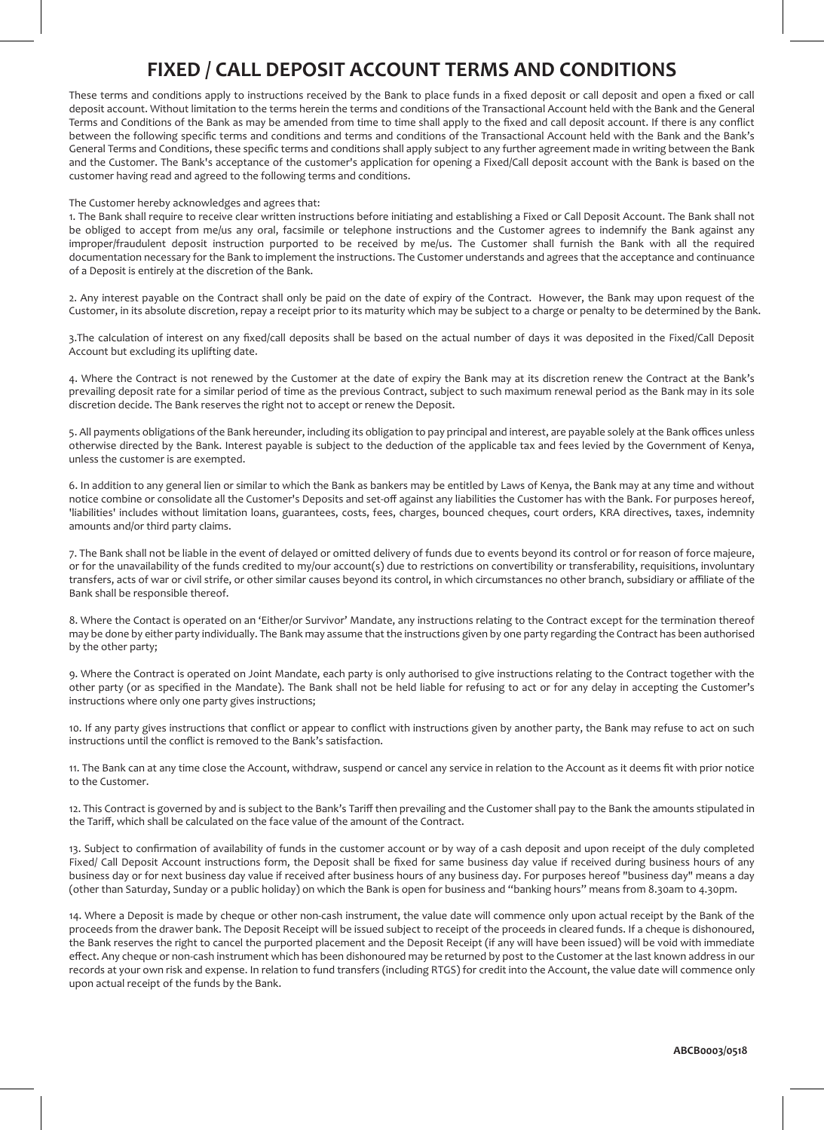## **FIXED / CALL DEPOSIT ACCOUNT TERMS AND CONDITIONS**

These terms and conditions apply to instructions received by the Bank to place funds in a fixed deposit or call deposit and open a fixed or call deposit account. Without limitation to the terms herein the terms and conditions of the Transactional Account held with the Bank and the General Terms and Conditions of the Bank as may be amended from time to time shall apply to the fixed and call deposit account. If there is any conflict between the following specific terms and conditions and terms and conditions of the Transactional Account held with the Bank and the Bank's General Terms and Conditions, these specific terms and conditions shall apply subject to any further agreement made in writing between the Bank and the Customer. The Bank's acceptance of the customer's application for opening a Fixed/Call deposit account with the Bank is based on the customer having read and agreed to the following terms and conditions.

### The Customer hereby acknowledges and agrees that:

1. The Bank shall require to receive clear written instructions before initiating and establishing a Fixed or Call Deposit Account. The Bank shall not be obliged to accept from me/us any oral, facsimile or telephone instructions and the Customer agrees to indemnify the Bank against any improper/fraudulent deposit instruction purported to be received by me/us. The Customer shall furnish the Bank with all the required documentation necessary for the Bank to implement the instructions. The Customer understands and agrees that the acceptance and continuance of a Deposit is entirely at the discretion of the Bank.

2. Any interest payable on the Contract shall only be paid on the date of expiry of the Contract. However, the Bank may upon request of the Customer, in its absolute discretion, repay a receipt prior to its maturity which may be subject to a charge or penalty to be determined by the Bank.

3.The calculation of interest on any fixed/call deposits shall be based on the actual number of days it was deposited in the Fixed/Call Deposit Account but excluding its uplifting date.

4. Where the Contract is not renewed by the Customer at the date of expiry the Bank may at its discretion renew the Contract at the Bank's prevailing deposit rate for a similar period of time as the previous Contract, subject to such maximum renewal period as the Bank may in its sole discretion decide. The Bank reserves the right not to accept or renew the Deposit.

5. All payments obligations of the Bank hereunder, including its obligation to pay principal and interest, are payable solely at the Bank offices unless otherwise directed by the Bank. Interest payable is subject to the deduction of the applicable tax and fees levied by the Government of Kenya, unless the customer is are exempted.

6. In addition to any general lien or similar to which the Bank as bankers may be entitled by Laws of Kenya, the Bank may at any time and without notice combine or consolidate all the Customer's Deposits and set-off against any liabilities the Customer has with the Bank. For purposes hereof, 'liabilities' includes without limitation loans, guarantees, costs, fees, charges, bounced cheques, court orders, KRA directives, taxes, indemnity amounts and/or third party claims.

7. The Bank shall not be liable in the event of delayed or omitted delivery of funds due to events beyond its control or for reason of force majeure, or for the unavailability of the funds credited to my/our account(s) due to restrictions on convertibility or transferability, requisitions, involuntary transfers, acts of war or civil strife, or other similar causes beyond its control, in which circumstances no other branch, subsidiary or affiliate of the Bank shall be responsible thereof.

8. Where the Contact is operated on an 'Either/or Survivor' Mandate, any instructions relating to the Contract except for the termination thereof may be done by either party individually. The Bank may assume that the instructions given by one party regarding the Contract has been authorised by the other party;

9. Where the Contract is operated on Joint Mandate, each party is only authorised to give instructions relating to the Contract together with the other party (or as specified in the Mandate). The Bank shall not be held liable for refusing to act or for any delay in accepting the Customer's instructions where only one party gives instructions;

10. If any party gives instructions that conflict or appear to conflict with instructions given by another party, the Bank may refuse to act on such instructions until the conflict is removed to the Bank's satisfaction.

11. The Bank can at any time close the Account, withdraw, suspend or cancel any service in relation to the Account as it deems fit with prior notice to the Customer.

12. This Contract is governed by and is subject to the Bank's Tariff then prevailing and the Customer shall pay to the Bank the amounts stipulated in the Tariff, which shall be calculated on the face value of the amount of the Contract.

13. Subject to confirmation of availability of funds in the customer account or by way of a cash deposit and upon receipt of the duly completed Fixed/ Call Deposit Account instructions form, the Deposit shall be fixed for same business day value if received during business hours of any business day or for next business day value if received after business hours of any business day. For purposes hereof "business day" means a day (other than Saturday, Sunday or a public holiday) on which the Bank is open for business and "banking hours" means from 8.30am to 4.30pm.

14. Where a Deposit is made by cheque or other non-cash instrument, the value date will commence only upon actual receipt by the Bank of the proceeds from the drawer bank. The Deposit Receipt will be issued subject to receipt of the proceeds in cleared funds. If a cheque is dishonoured, the Bank reserves the right to cancel the purported placement and the Deposit Receipt (if any will have been issued) will be void with immediate effect. Any cheque or non-cash instrument which has been dishonoured may be returned by post to the Customer at the last known address in our records at your own risk and expense. In relation to fund transfers (including RTGS) for credit into the Account, the value date will commence only upon actual receipt of the funds by the Bank.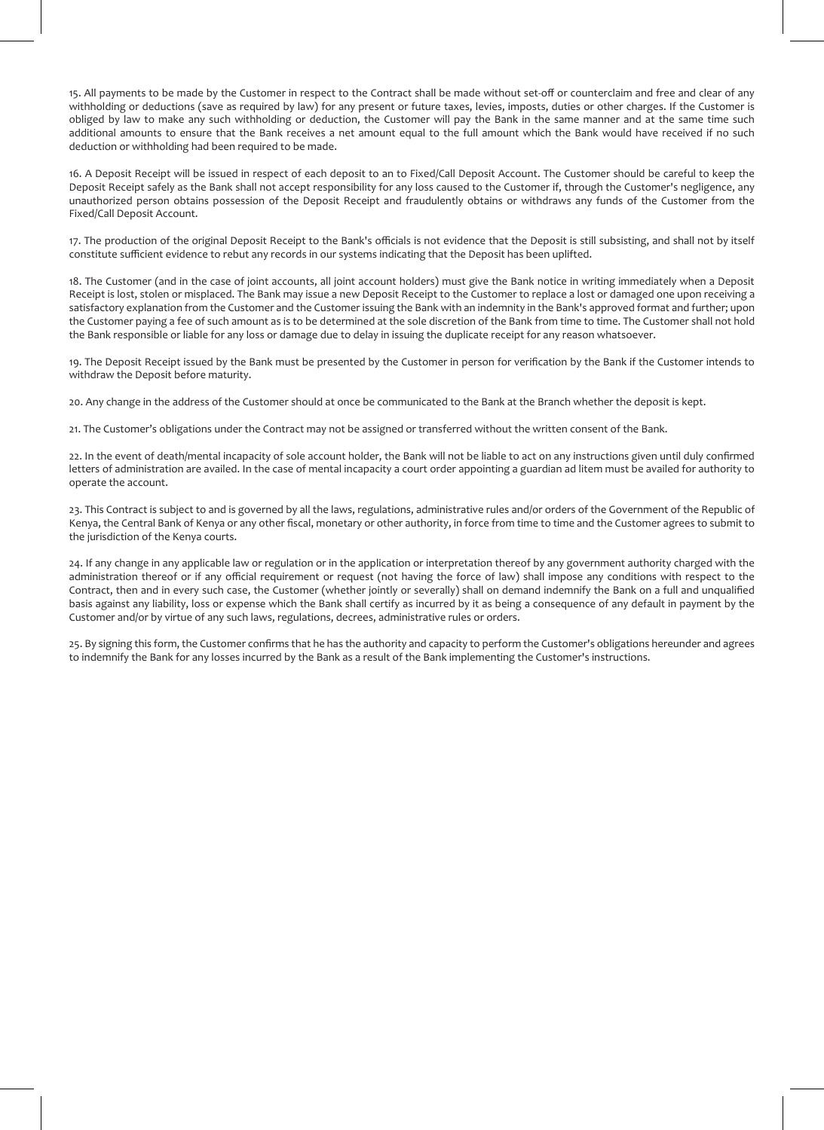15. All payments to be made by the Customer in respect to the Contract shall be made without set-off or counterclaim and free and clear of any withholding or deductions (save as required by law) for any present or future taxes, levies, imposts, duties or other charges. If the Customer is obliged by law to make any such withholding or deduction, the Customer will pay the Bank in the same manner and at the same time such additional amounts to ensure that the Bank receives a net amount equal to the full amount which the Bank would have received if no such deduction or withholding had been required to be made.

16. A Deposit Receipt will be issued in respect of each deposit to an to Fixed/Call Deposit Account. The Customer should be careful to keep the Deposit Receipt safely as the Bank shall not accept responsibility for any loss caused to the Customer if, through the Customer's negligence, any unauthorized person obtains possession of the Deposit Receipt and fraudulently obtains or withdraws any funds of the Customer from the Fixed/Call Deposit Account.

17. The production of the original Deposit Receipt to the Bank's officials is not evidence that the Deposit is still subsisting, and shall not by itself constitute sufficient evidence to rebut any records in our systems indicating that the Deposit has been uplifted.

18. The Customer (and in the case of joint accounts, all joint account holders) must give the Bank notice in writing immediately when a Deposit Receipt is lost, stolen or misplaced. The Bank may issue a new Deposit Receipt to the Customer to replace a lost or damaged one upon receiving a satisfactory explanation from the Customer and the Customer issuing the Bank with an indemnity in the Bank's approved format and further; upon the Customer paying a fee of such amount as is to be determined at the sole discretion of the Bank from time to time. The Customer shall not hold the Bank responsible or liable for any loss or damage due to delay in issuing the duplicate receipt for any reason whatsoever.

19. The Deposit Receipt issued by the Bank must be presented by the Customer in person for verification by the Bank if the Customer intends to withdraw the Deposit before maturity.

20. Any change in the address of the Customer should at once be communicated to the Bank at the Branch whether the deposit is kept.

21. The Customer's obligations under the Contract may not be assigned or transferred without the written consent of the Bank.

22. In the event of death/mental incapacity of sole account holder, the Bank will not be liable to act on any instructions given until duly confirmed letters of administration are availed. In the case of mental incapacity a court order appointing a guardian ad litem must be availed for authority to operate the account.

23. This Contract is subject to and is governed by all the laws, regulations, administrative rules and/or orders of the Government of the Republic of Kenya, the Central Bank of Kenya or any other fiscal, monetary or other authority, in force from time to time and the Customer agrees to submit to the jurisdiction of the Kenya courts.

24. If any change in any applicable law or regulation or in the application or interpretation thereof by any government authority charged with the administration thereof or if any official requirement or request (not having the force of law) shall impose any conditions with respect to the Contract, then and in every such case, the Customer (whether jointly or severally) shall on demand indemnify the Bank on a full and unqualified basis against any liability, loss or expense which the Bank shall certify as incurred by it as being a consequence of any default in payment by the Customer and/or by virtue of any such laws, regulations, decrees, administrative rules or orders.

25. By signing this form, the Customer confirms that he has the authority and capacity to perform the Customer's obligations hereunder and agrees to indemnify the Bank for any losses incurred by the Bank as a result of the Bank implementing the Customer's instructions.